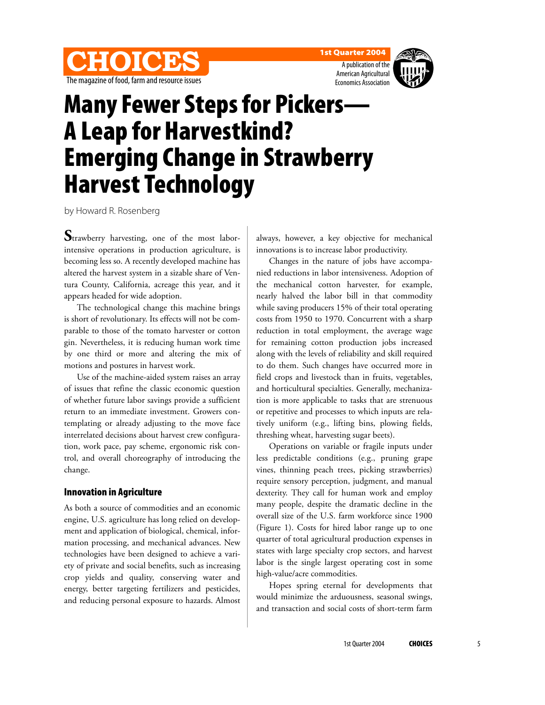



A publication of the American Agricultural Economics Association



# Many Fewer Steps for Pickers— A Leap for Harvestkind? Emerging Change in Strawberry Harvest Technology

by Howard R. Rosenberg

Strawberry harvesting, one of the most laborintensive operations in production agriculture, is becoming less so. A recently developed machine has altered the harvest system in a sizable share of Ventura County, California, acreage this year, and it appears headed for wide adoption.

The technological change this machine brings is short of revolutionary. Its effects will not be comparable to those of the tomato harvester or cotton gin. Nevertheless, it is reducing human work time by one third or more and altering the mix of motions and postures in harvest work.

Use of the machine-aided system raises an array of issues that refine the classic economic question of whether future labor savings provide a sufficient return to an immediate investment. Growers contemplating or already adjusting to the move face interrelated decisions about harvest crew configuration, work pace, pay scheme, ergonomic risk control, and overall choreography of introducing the change.

# Innovation in Agriculture

As both a source of commodities and an economic engine, U.S. agriculture has long relied on development and application of biological, chemical, information processing, and mechanical advances. New technologies have been designed to achieve a variety of private and social benefits, such as increasing crop yields and quality, conserving water and energy, better targeting fertilizers and pesticides, and reducing personal exposure to hazards. Almost always, however, a key objective for mechanical innovations is to increase labor productivity.

Changes in the nature of jobs have accompanied reductions in labor intensiveness. Adoption of the mechanical cotton harvester, for example, nearly halved the labor bill in that commodity while saving producers 15% of their total operating costs from 1950 to 1970. Concurrent with a sharp reduction in total employment, the average wage for remaining cotton production jobs increased along with the levels of reliability and skill required to do them. Such changes have occurred more in field crops and livestock than in fruits, vegetables, and horticultural specialties. Generally, mechanization is more applicable to tasks that are strenuous or repetitive and processes to which inputs are relatively uniform (e.g., lifting bins, plowing fields, threshing wheat, harvesting sugar beets).

Operations on variable or fragile inputs under less predictable conditions (e.g., pruning grape vines, thinning peach trees, picking strawberries) require sensory perception, judgment, and manual dexterity. They call for human work and employ many people, despite the dramatic decline in the overall size of the U.S. farm workforce since 1900 (Figure 1). Costs for hired labor range up to one quarter of total agricultural production expenses in states with large specialty crop sectors, and harvest labor is the single largest operating cost in some high-value/acre commodities.

Hopes spring eternal for developments that would minimize the arduousness, seasonal swings, and transaction and social costs of short-term farm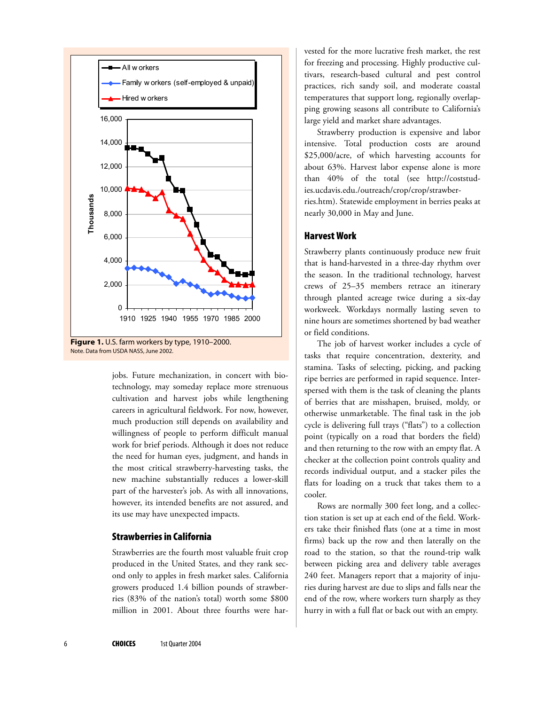

jobs. Future mechanization, in concert with biotechnology, may someday replace more strenuous cultivation and harvest jobs while lengthening careers in agricultural fieldwork. For now, however, much production still depends on availability and willingness of people to perform difficult manual work for brief periods. Although it does not reduce the need for human eyes, judgment, and hands in the most critical strawberry-harvesting tasks, the new machine substantially reduces a lower-skill part of the harvester's job. As with all innovations, however, its intended benefits are not assured, and its use may have unexpected impacts.

## Strawberries in California

Strawberries are the fourth most valuable fruit crop produced in the United States, and they rank second only to apples in fresh market sales. California growers produced 1.4 billion pounds of strawberries (83% of the nation's total) worth some \$800 million in 2001. About three fourths were harvested for the more lucrative fresh market, the rest for freezing and processing. Highly productive cultivars, research-based cultural and pest control practices, rich sandy soil, and moderate coastal temperatures that support long, regionally overlapping growing seasons all contribute to California's large yield and market share advantages.

Strawberry production is expensive and labor intensive. Total production costs are around \$25,000/acre, of which harvesting accounts for about 63%. Harvest labor expense alone is more than 40% of the total (see http://coststudies.ucdavis.edu./outreach/crop/crop/strawberries.htm). Statewide employment in berries peaks at nearly 30,000 in May and June.

#### Harvest Work

Strawberry plants continuously produce new fruit that is hand-harvested in a three-day rhythm over the season. In the traditional technology, harvest crews of 25–35 members retrace an itinerary through planted acreage twice during a six-day workweek. Workdays normally lasting seven to nine hours are sometimes shortened by bad weather or field conditions.

The job of harvest worker includes a cycle of tasks that require concentration, dexterity, and stamina. Tasks of selecting, picking, and packing ripe berries are performed in rapid sequence. Interspersed with them is the task of cleaning the plants of berries that are misshapen, bruised, moldy, or otherwise unmarketable. The final task in the job cycle is delivering full trays ("flats") to a collection point (typically on a road that borders the field) and then returning to the row with an empty flat. A checker at the collection point controls quality and records individual output, and a stacker piles the flats for loading on a truck that takes them to a cooler.

Rows are normally 300 feet long, and a collection station is set up at each end of the field. Workers take their finished flats (one at a time in most firms) back up the row and then laterally on the road to the station, so that the round-trip walk between picking area and delivery table averages 240 feet. Managers report that a majority of injuries during harvest are due to slips and falls near the end of the row, where workers turn sharply as they hurry in with a full flat or back out with an empty.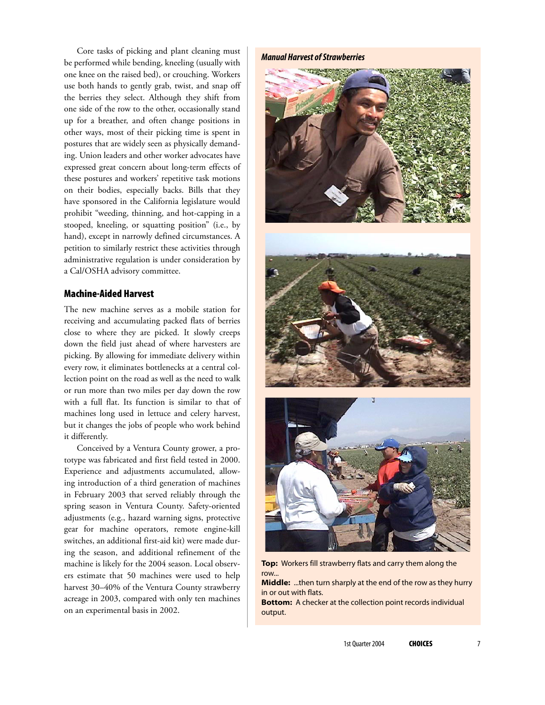Core tasks of picking and plant cleaning must be performed while bending, kneeling (usually with one knee on the raised bed), or crouching. Workers use both hands to gently grab, twist, and snap off the berries they select. Although they shift from one side of the row to the other, occasionally stand up for a breather, and often change positions in other ways, most of their picking time is spent in postures that are widely seen as physically demanding. Union leaders and other worker advocates have expressed great concern about long-term effects of these postures and workers' repetitive task motions on their bodies, especially backs. Bills that they have sponsored in the California legislature would prohibit "weeding, thinning, and hot-capping in a stooped, kneeling, or squatting position" (i.e., by hand), except in narrowly defined circumstances. A petition to similarly restrict these activities through administrative regulation is under consideration by a Cal/OSHA advisory committee.

#### Machine-Aided Harvest

The new machine serves as a mobile station for receiving and accumulating packed flats of berries close to where they are picked. It slowly creeps down the field just ahead of where harvesters are picking. By allowing for immediate delivery within every row, it eliminates bottlenecks at a central collection point on the road as well as the need to walk or run more than two miles per day down the row with a full flat. Its function is similar to that of machines long used in lettuce and celery harvest, but it changes the jobs of people who work behind it differently.

Conceived by a Ventura County grower, a prototype was fabricated and first field tested in 2000. Experience and adjustments accumulated, allowing introduction of a third generation of machines in February 2003 that served reliably through the spring season in Ventura County. Safety-oriented adjustments (e.g., hazard warning signs, protective gear for machine operators, remote engine-kill switches, an additional first-aid kit) were made during the season, and additional refinement of the machine is likely for the 2004 season. Local observers estimate that 50 machines were used to help harvest 30–40% of the Ventura County strawberry acreage in 2003, compared with only ten machines on an experimental basis in 2002.

**Manual Harvest of Strawberries**



**Top:** Workers fill strawberry flats and carry them along the row...

**Middle:** ...then turn sharply at the end of the row as they hurry in or out with flats.

**Bottom:** A checker at the collection point records individual output.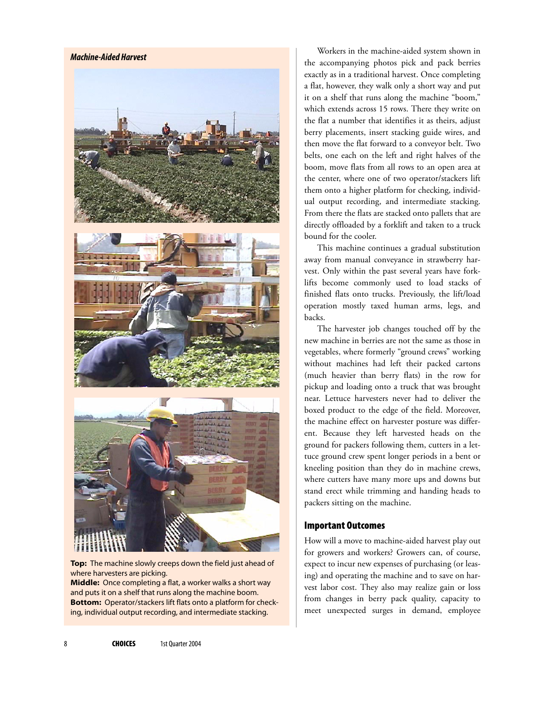

**Top:** The machine slowly creeps down the field just ahead of where harvesters are picking.

**Middle:** Once completing a flat, a worker walks a short way and puts it on a shelf that runs along the machine boom. **Bottom:** Operator/stackers lift flats onto a platform for checking, individual output recording, and intermediate stacking.

Workers in the machine-aided system shown in the accompanying photos pick and pack berries exactly as in a traditional harvest. Once completing a flat, however, they walk only a short way and put it on a shelf that runs along the machine "boom," which extends across 15 rows. There they write on the flat a number that identifies it as theirs, adjust berry placements, insert stacking guide wires, and then move the flat forward to a conveyor belt. Two belts, one each on the left and right halves of the boom, move flats from all rows to an open area at the center, where one of two operator/stackers lift them onto a higher platform for checking, individual output recording, and intermediate stacking. From there the flats are stacked onto pallets that are directly offloaded by a forklift and taken to a truck bound for the cooler.

This machine continues a gradual substitution away from manual conveyance in strawberry harvest. Only within the past several years have forklifts become commonly used to load stacks of finished flats onto trucks. Previously, the lift/load operation mostly taxed human arms, legs, and backs.

The harvester job changes touched off by the new machine in berries are not the same as those in vegetables, where formerly "ground crews" working without machines had left their packed cartons (much heavier than berry flats) in the row for pickup and loading onto a truck that was brought near. Lettuce harvesters never had to deliver the boxed product to the edge of the field. Moreover, the machine effect on harvester posture was different. Because they left harvested heads on the ground for packers following them, cutters in a lettuce ground crew spent longer periods in a bent or kneeling position than they do in machine crews, where cutters have many more ups and downs but stand erect while trimming and handing heads to packers sitting on the machine.

# Important Outcomes

How will a move to machine-aided harvest play out for growers and workers? Growers can, of course, expect to incur new expenses of purchasing (or leasing) and operating the machine and to save on harvest labor cost. They also may realize gain or loss from changes in berry pack quality, capacity to meet unexpected surges in demand, employee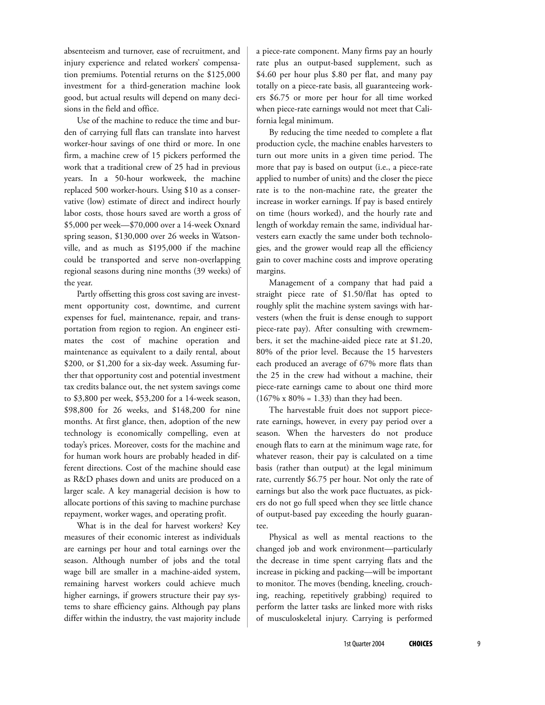absenteeism and turnover, ease of recruitment, and injury experience and related workers' compensation premiums. Potential returns on the \$125,000 investment for a third-generation machine look good, but actual results will depend on many decisions in the field and office.

Use of the machine to reduce the time and burden of carrying full flats can translate into harvest worker-hour savings of one third or more. In one firm, a machine crew of 15 pickers performed the work that a traditional crew of 25 had in previous years. In a 50-hour workweek, the machine replaced 500 worker-hours. Using \$10 as a conservative (low) estimate of direct and indirect hourly labor costs, those hours saved are worth a gross of \$5,000 per week—\$70,000 over a 14-week Oxnard spring season, \$130,000 over 26 weeks in Watsonville, and as much as \$195,000 if the machine could be transported and serve non-overlapping regional seasons during nine months (39 weeks) of the year.

Partly offsetting this gross cost saving are investment opportunity cost, downtime, and current expenses for fuel, maintenance, repair, and transportation from region to region. An engineer estimates the cost of machine operation and maintenance as equivalent to a daily rental, about \$200, or \$1,200 for a six-day week. Assuming further that opportunity cost and potential investment tax credits balance out, the net system savings come to \$3,800 per week, \$53,200 for a 14-week season, \$98,800 for 26 weeks, and \$148,200 for nine months. At first glance, then, adoption of the new technology is economically compelling, even at today's prices. Moreover, costs for the machine and for human work hours are probably headed in different directions. Cost of the machine should ease as R&D phases down and units are produced on a larger scale. A key managerial decision is how to allocate portions of this saving to machine purchase repayment, worker wages, and operating profit.

What is in the deal for harvest workers? Key measures of their economic interest as individuals are earnings per hour and total earnings over the season. Although number of jobs and the total wage bill are smaller in a machine-aided system, remaining harvest workers could achieve much higher earnings, if growers structure their pay systems to share efficiency gains. Although pay plans differ within the industry, the vast majority include a piece-rate component. Many firms pay an hourly rate plus an output-based supplement, such as \$4.60 per hour plus \$.80 per flat, and many pay totally on a piece-rate basis, all guaranteeing workers \$6.75 or more per hour for all time worked when piece-rate earnings would not meet that California legal minimum.

By reducing the time needed to complete a flat production cycle, the machine enables harvesters to turn out more units in a given time period. The more that pay is based on output (i.e., a piece-rate applied to number of units) and the closer the piece rate is to the non-machine rate, the greater the increase in worker earnings. If pay is based entirely on time (hours worked), and the hourly rate and length of workday remain the same, individual harvesters earn exactly the same under both technologies, and the grower would reap all the efficiency gain to cover machine costs and improve operating margins.

Management of a company that had paid a straight piece rate of \$1.50/flat has opted to roughly split the machine system savings with harvesters (when the fruit is dense enough to support piece-rate pay). After consulting with crewmembers, it set the machine-aided piece rate at \$1.20, 80% of the prior level. Because the 15 harvesters each produced an average of 67% more flats than the 25 in the crew had without a machine, their piece-rate earnings came to about one third more  $(167\% \times 80\% = 1.33)$  than they had been.

The harvestable fruit does not support piecerate earnings, however, in every pay period over a season. When the harvesters do not produce enough flats to earn at the minimum wage rate, for whatever reason, their pay is calculated on a time basis (rather than output) at the legal minimum rate, currently \$6.75 per hour. Not only the rate of earnings but also the work pace fluctuates, as pickers do not go full speed when they see little chance of output-based pay exceeding the hourly guarantee.

Physical as well as mental reactions to the changed job and work environment—particularly the decrease in time spent carrying flats and the increase in picking and packing—will be important to monitor. The moves (bending, kneeling, crouching, reaching, repetitively grabbing) required to perform the latter tasks are linked more with risks of musculoskeletal injury. Carrying is performed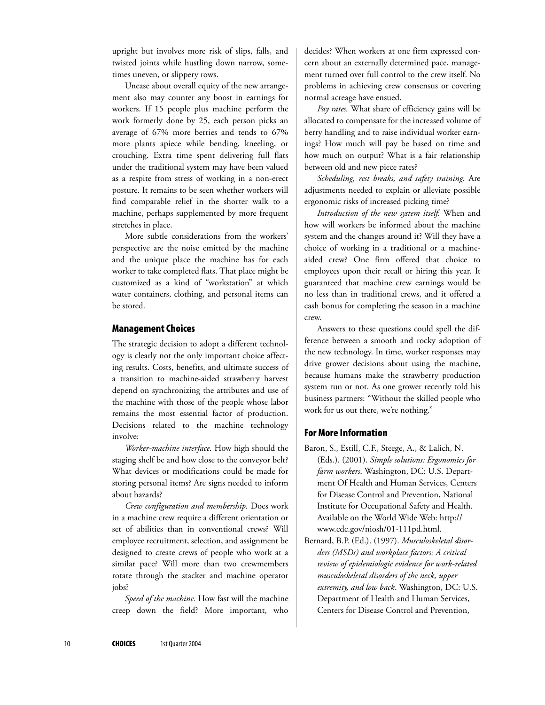upright but involves more risk of slips, falls, and twisted joints while hustling down narrow, sometimes uneven, or slippery rows.

Unease about overall equity of the new arrangement also may counter any boost in earnings for workers. If 15 people plus machine perform the work formerly done by 25, each person picks an average of 67% more berries and tends to 67% more plants apiece while bending, kneeling, or crouching. Extra time spent delivering full flats under the traditional system may have been valued as a respite from stress of working in a non-erect posture. It remains to be seen whether workers will find comparable relief in the shorter walk to a machine, perhaps supplemented by more frequent stretches in place.

More subtle considerations from the workers' perspective are the noise emitted by the machine and the unique place the machine has for each worker to take completed flats. That place might be customized as a kind of "workstation" at which water containers, clothing, and personal items can be stored.

#### Management Choices

The strategic decision to adopt a different technology is clearly not the only important choice affecting results. Costs, benefits, and ultimate success of a transition to machine-aided strawberry harvest depend on synchronizing the attributes and use of the machine with those of the people whose labor remains the most essential factor of production. Decisions related to the machine technology involve:

*Worker-machine interface.* How high should the staging shelf be and how close to the conveyor belt? What devices or modifications could be made for storing personal items? Are signs needed to inform about hazards?

*Crew configuration and membership.* Does work in a machine crew require a different orientation or set of abilities than in conventional crews? Will employee recruitment, selection, and assignment be designed to create crews of people who work at a similar pace? Will more than two crewmembers rotate through the stacker and machine operator jobs?

*Speed of the machine.* How fast will the machine creep down the field? More important, who

decides? When workers at one firm expressed concern about an externally determined pace, management turned over full control to the crew itself. No problems in achieving crew consensus or covering normal acreage have ensued.

*Pay rates.* What share of efficiency gains will be allocated to compensate for the increased volume of berry handling and to raise individual worker earnings? How much will pay be based on time and how much on output? What is a fair relationship between old and new piece rates?

*Scheduling, rest breaks, and safety training.* Are adjustments needed to explain or alleviate possible ergonomic risks of increased picking time?

*Introduction of the new system itself.* When and how will workers be informed about the machine system and the changes around it? Will they have a choice of working in a traditional or a machineaided crew? One firm offered that choice to employees upon their recall or hiring this year. It guaranteed that machine crew earnings would be no less than in traditional crews, and it offered a cash bonus for completing the season in a machine crew.

Answers to these questions could spell the difference between a smooth and rocky adoption of the new technology. In time, worker responses may drive grower decisions about using the machine, because humans make the strawberry production system run or not. As one grower recently told his business partners: "Without the skilled people who work for us out there, we're nothing."

## For More Information

- Baron, S., Estill, C.F., Steege, A., & Lalich, N. (Eds.). (2001). *Simple solutions: Ergonomics for farm workers*. Washington, DC: U.S. Department Of Health and Human Services, Centers for Disease Control and Prevention, National Institute for Occupational Safety and Health. Available on the World Wide Web: http:// www.cdc.gov/niosh/01-111pd.html.
- Bernard, B.P. (Ed.). (1997). *Musculoskeletal disorders (MSDs) and workplace factors: A critical review of epidemiologic evidence for work-related musculoskeletal disorders of the neck, upper extremity, and low back*. Washington, DC: U.S. Department of Health and Human Services, Centers for Disease Control and Prevention,